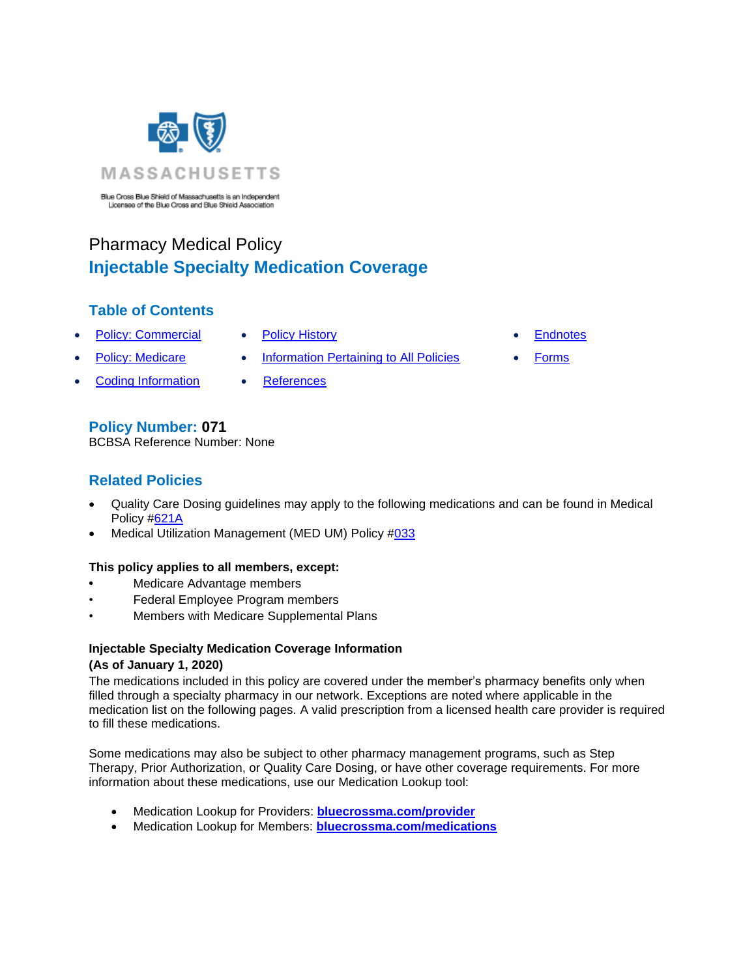

# Pharmacy Medical Policy **Injectable Specialty Medication Coverage**

# **Table of Contents**

- Policy: Commercial [Policy History](#page-3-0)  **Endnotes** 
	-
- 
- 
- Policy: Medicare Information Pertaining to All Policies Forms
- **Coding Information References**
- 

### **Policy Number: 071**

BCBSA Reference Number: None

# **Related Policies**

- Quality Care Dosing guidelines may apply to the following medications and can be found in Medical Policy [#621A](http://www.bluecrossma.org/medical-policies/sites/g/files/csphws2091/files/acquiadam-assets/621A%20Quality%20Care%20Dosing%20Guidelines%20prn.pdf)
- Medical Utilization Management (MED UM) Policy [#033](http://www.bluecrossma.org/medical-policies/sites/g/files/csphws2091/files/acquiadam-assets/033%20Med%20UM%20Policy%20prn.pdf)

### **This policy applies to all members, except:**

- **•** Medicare Advantage members
- Federal Employee Program members
- Members with Medicare Supplemental Plans

### **Injectable Specialty Medication Coverage Information (As of January 1, 2020)**

The medications included in this policy are covered under the member's pharmacy benefits only when filled through a specialty pharmacy in our network. Exceptions are noted where applicable in the medication list on the following pages. A valid prescription from a licensed health care provider is required to fill these medications.

Some medications may also be subject to other pharmacy management programs, such as Step Therapy, Prior Authorization, or Quality Care Dosing, or have other coverage requirements. For more information about these medications, use our Medication Lookup tool:

- Medication Lookup for Providers: **[bluecrossma.com/provider](https://home.bluecrossma.com/medication/?provider=true)**
- Medication Lookup for Members: **[bluecrossma.com/medications](http://bluecrossma.com/medications)**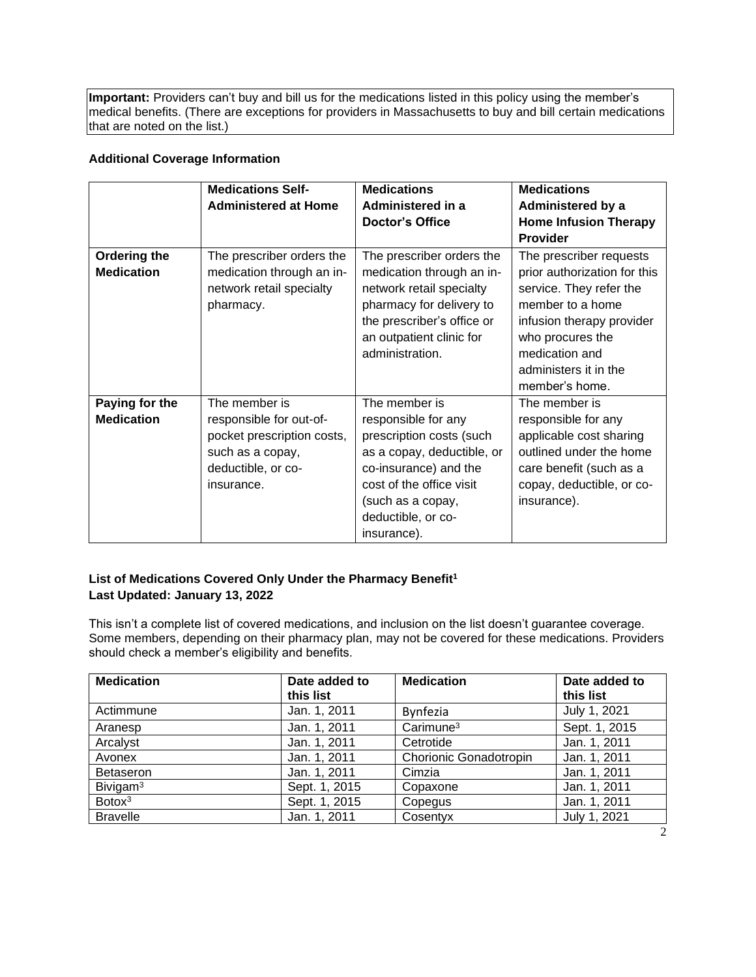**Important:** Providers can't buy and bill us for the medications listed in this policy using the member's medical benefits. (There are exceptions for providers in Massachusetts to buy and bill certain medications that are noted on the list.)

#### **Additional Coverage Information**

|                     | <b>Medications Self-</b>    | <b>Medications</b>         | <b>Medications</b>           |
|---------------------|-----------------------------|----------------------------|------------------------------|
|                     | <b>Administered at Home</b> | Administered in a          | Administered by a            |
|                     |                             | <b>Doctor's Office</b>     | <b>Home Infusion Therapy</b> |
|                     |                             |                            | <b>Provider</b>              |
| <b>Ordering the</b> | The prescriber orders the   | The prescriber orders the  | The prescriber requests      |
| <b>Medication</b>   | medication through an in-   | medication through an in-  | prior authorization for this |
|                     | network retail specialty    | network retail specialty   | service. They refer the      |
|                     | pharmacy.                   | pharmacy for delivery to   | member to a home             |
|                     |                             | the prescriber's office or | infusion therapy provider    |
|                     |                             | an outpatient clinic for   | who procures the             |
|                     |                             | administration.            | medication and               |
|                     |                             |                            | administers it in the        |
|                     |                             |                            | member's home.               |
| Paying for the      | The member is               | The member is              | The member is                |
| <b>Medication</b>   | responsible for out-of-     | responsible for any        | responsible for any          |
|                     | pocket prescription costs,  | prescription costs (such   | applicable cost sharing      |
|                     | such as a copay,            | as a copay, deductible, or | outlined under the home      |
|                     | deductible, or co-          | co-insurance) and the      | care benefit (such as a      |
|                     | insurance.                  | cost of the office visit   | copay, deductible, or co-    |
|                     |                             | (such as a copay,          | insurance).                  |
|                     |                             | deductible, or co-         |                              |
|                     |                             | insurance).                |                              |

#### **List of Medications Covered Only Under the Pharmacy Benefit<sup>1</sup> Last Updated: January 13, 2022**

This isn't a complete list of covered medications, and inclusion on the list doesn't guarantee coverage. Some members, depending on their pharmacy plan, may not be covered for these medications. Providers should check a member's eligibility and benefits.

| <b>Medication</b>    | Date added to<br>this list | <b>Medication</b>      | Date added to<br>this list |
|----------------------|----------------------------|------------------------|----------------------------|
| Actimmune            | Jan. 1, 2011               | <b>Bynfezia</b>        | July 1, 2021               |
| Aranesp              | Jan. 1, 2011               | $C$ arimune $3$        | Sept. 1, 2015              |
| Arcalyst             | Jan. 1, 2011               | Cetrotide              | Jan. 1, 2011               |
| Avonex               | Jan. 1, 2011               | Chorionic Gonadotropin | Jan. 1, 2011               |
| <b>Betaseron</b>     | Jan. 1, 2011               | Cimzia                 | Jan. 1, 2011               |
| Bivigam <sup>3</sup> | Sept. 1, 2015              | Copaxone               | Jan. 1, 2011               |
| Botox <sup>3</sup>   | Sept. 1, 2015              | Copegus                | Jan. 1, 2011               |
| <b>Bravelle</b>      | Jan. 1, 2011               | Cosentyx               | July 1, 2021               |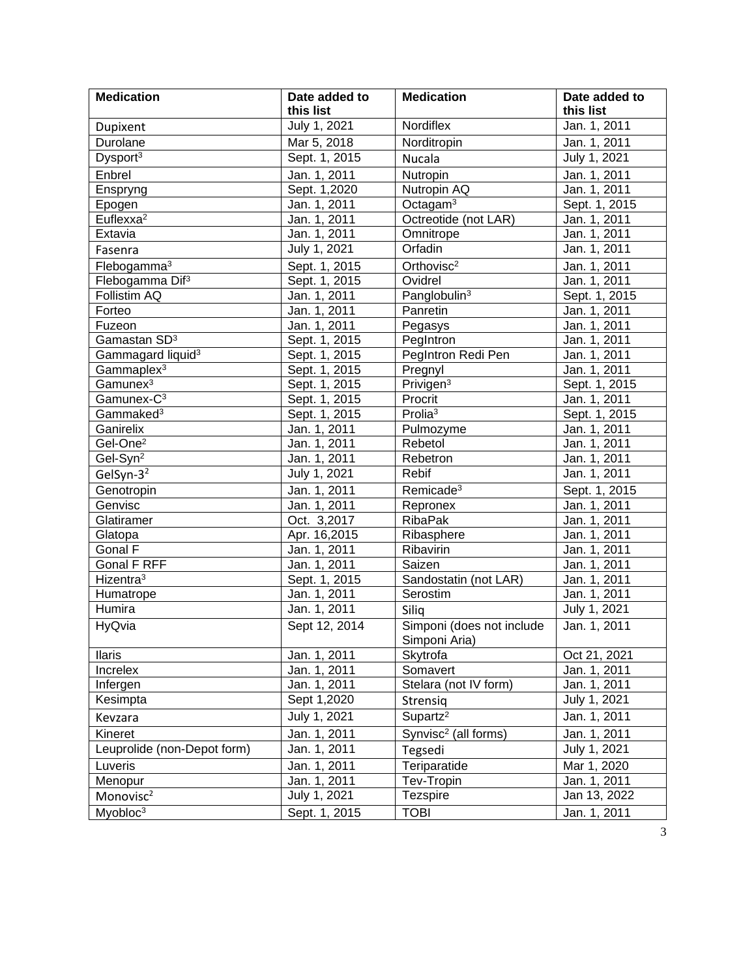| <b>Medication</b>             | Date added to | <b>Medication</b>                          | Date added to |
|-------------------------------|---------------|--------------------------------------------|---------------|
|                               | this list     |                                            | this list     |
| Dupixent                      | July 1, 2021  | Nordiflex                                  | Jan. 1, 2011  |
| Durolane                      | Mar 5, 2018   | Norditropin                                | Jan. 1, 2011  |
| Dysport <sup>3</sup>          | Sept. 1, 2015 | Nucala                                     | July 1, 2021  |
| Enbrel                        | Jan. 1, 2011  | Nutropin                                   | Jan. 1, 2011  |
| Enspryng                      | Sept. 1,2020  | Nutropin AQ                                | Jan. 1, 2011  |
| Epogen                        | Jan. 1, 2011  | Octaga $m3$                                | Sept. 1, 2015 |
| Euflexxa <sup>2</sup>         | Jan. 1, 2011  | Octreotide (not LAR)                       | Jan. 1, 2011  |
| Extavia                       | Jan. 1, 2011  | Omnitrope                                  | Jan. 1, 2011  |
| Fasenra                       | July 1, 2021  | Orfadin                                    | Jan. 1, 2011  |
| Flebogamma <sup>3</sup>       | Sept. 1, 2015 | Orthovisc <sup>2</sup>                     | Jan. 1, 2011  |
| Flebogamma Dif <sup>3</sup>   | Sept. 1, 2015 | Ovidrel                                    | Jan. 1, 2011  |
| Follistim AQ                  | Jan. 1, 2011  | Panglobulin <sup>3</sup>                   | Sept. 1, 2015 |
| Forteo                        | Jan. 1, 2011  | Panretin                                   | Jan. 1, 2011  |
| Fuzeon                        | Jan. 1, 2011  | Pegasys                                    | Jan. 1, 2011  |
| Gamastan SD <sup>3</sup>      | Sept. 1, 2015 | PegIntron                                  | Jan. 1, 2011  |
| Gammagard liquid <sup>3</sup> | Sept. 1, 2015 | PegIntron Redi Pen                         | Jan. 1, 2011  |
| Gammaplex <sup>3</sup>        | Sept. 1, 2015 | Pregnyl                                    | Jan. 1, 2011  |
| Gamunex <sup>3</sup>          | Sept. 1, 2015 | Privigen <sup>3</sup>                      | Sept. 1, 2015 |
| Gamunex-C <sup>3</sup>        | Sept. 1, 2015 | Procrit                                    | Jan. 1, 2011  |
| Gammaked <sup>3</sup>         | Sept. 1, 2015 | Prolia <sup>3</sup>                        | Sept. 1, 2015 |
| Ganirelix                     | Jan. 1, 2011  | Pulmozyme                                  | Jan. 1, 2011  |
| Gel-One <sup>2</sup>          | Jan. 1, 2011  | Rebetol                                    | Jan. 1, 2011  |
| Gel-Syn <sup>2</sup>          | Jan. 1, 2011  | Rebetron                                   | Jan. 1, 2011  |
| GelSyn-3 <sup>2</sup>         | July 1, 2021  | Rebif                                      | Jan. 1, 2011  |
| Genotropin                    | Jan. 1, 2011  | Remicade <sup>3</sup>                      | Sept. 1, 2015 |
| Genvisc                       | Jan. 1, 2011  | Repronex                                   | Jan. 1, 2011  |
| Glatiramer                    | Oct. 3,2017   | <b>RibaPak</b>                             | Jan. 1, 2011  |
| Glatopa                       | Apr. 16,2015  | Ribasphere                                 | Jan. 1, 2011  |
| Gonal F                       | Jan. 1, 2011  | Ribavirin                                  | Jan. 1, 2011  |
| Gonal F RFF                   | Jan. 1, 2011  | Saizen                                     | Jan. 1, 2011  |
| Hizentra <sup>3</sup>         | Sept. 1, 2015 | Sandostatin (not LAR)                      | Jan. 1, 2011  |
| Humatrope                     | Jan. 1, 2011  | Serostim                                   | Jan. 1, 2011  |
| Humira                        | Jan. 1, 2011  | Silig                                      | July 1, 2021  |
| HyQvia                        | Sept 12, 2014 | Simponi (does not include<br>Simponi Aria) | Jan. 1, 2011  |
| <b>Ilaris</b>                 | Jan. 1, 2011  | Skytrofa                                   | Oct 21, 2021  |
| Increlex                      | Jan. 1, 2011  | Somavert                                   | Jan. 1, 2011  |
| Infergen                      | Jan. 1, 2011  | Stelara (not IV form)                      | Jan. 1, 2011  |
| Kesimpta                      | Sept 1,2020   | Strensiq                                   | July 1, 2021  |
| Kevzara                       | July 1, 2021  | Supartz <sup>2</sup>                       | Jan. 1, 2011  |
| Kineret                       | Jan. 1, 2011  | Synvisc <sup>2</sup> (all forms)           | Jan. 1, 2011  |
| Leuprolide (non-Depot form)   | Jan. 1, 2011  | Tegsedi                                    | July 1, 2021  |
| Luveris                       | Jan. 1, 2011  | Teriparatide                               | Mar 1, 2020   |
| Menopur                       | Jan. 1, 2011  | Tev-Tropin                                 | Jan. 1, 2011  |
| Monovisc <sup>2</sup>         | July 1, 2021  | Tezspire                                   | Jan 13, 2022  |
| Myobloc <sup>3</sup>          | Sept. 1, 2015 | <b>TOBI</b>                                | Jan. 1, 2011  |
|                               |               |                                            |               |